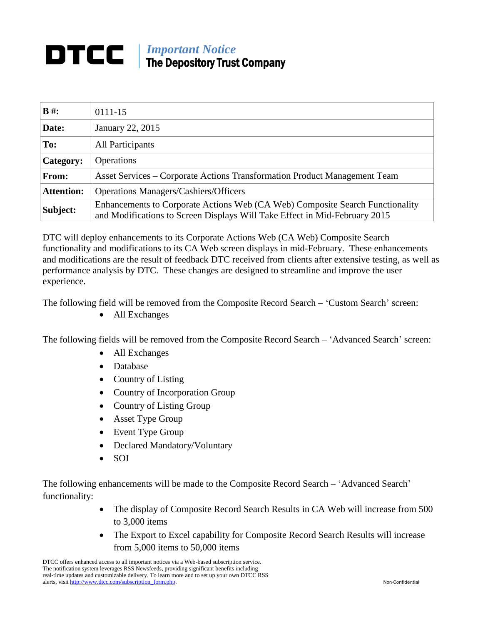## *Important Notice*<br>The Department Time The Depository Trust Company

| $B \#$ :          | 0111-15                                                                                                                                                     |
|-------------------|-------------------------------------------------------------------------------------------------------------------------------------------------------------|
| Date:             | January 22, 2015                                                                                                                                            |
| To:               | All Participants                                                                                                                                            |
| Category:         | <b>Operations</b>                                                                                                                                           |
| From:             | Asset Services – Corporate Actions Transformation Product Management Team                                                                                   |
| <b>Attention:</b> | <b>Operations Managers/Cashiers/Officers</b>                                                                                                                |
| Subject:          | Enhancements to Corporate Actions Web (CA Web) Composite Search Functionality<br>and Modifications to Screen Displays Will Take Effect in Mid-February 2015 |

DTC will deploy enhancements to its Corporate Actions Web (CA Web) Composite Search functionality and modifications to its CA Web screen displays in mid-February. These enhancements and modifications are the result of feedback DTC received from clients after extensive testing, as well as performance analysis by DTC. These changes are designed to streamline and improve the user experience.

The following field will be removed from the Composite Record Search – 'Custom Search' screen:

All Exchanges

The following fields will be removed from the Composite Record Search – 'Advanced Search' screen:

- All Exchanges
- Database
- Country of Listing
- Country of Incorporation Group
- Country of Listing Group
- Asset Type Group
- Event Type Group
- Declared Mandatory/Voluntary
- $\bullet$  SOI

The following enhancements will be made to the Composite Record Search – 'Advanced Search' functionality:

- The display of Composite Record Search Results in CA Web will increase from 500 to 3,000 items
- The Export to Excel capability for Composite Record Search Results will increase from 5,000 items to 50,000 items

DTCC offers enhanced access to all important notices via a Web-based subscription service. The notification system leverages RSS Newsfeeds, providing significant benefits including real-time updates and customizable delivery. To learn more and to set up your own DTCC RSS alerts, visit [http://www.dtcc.com/subscription\\_form.php.](http://www.dtcc.com/subscription_form.php) Non-Confidential